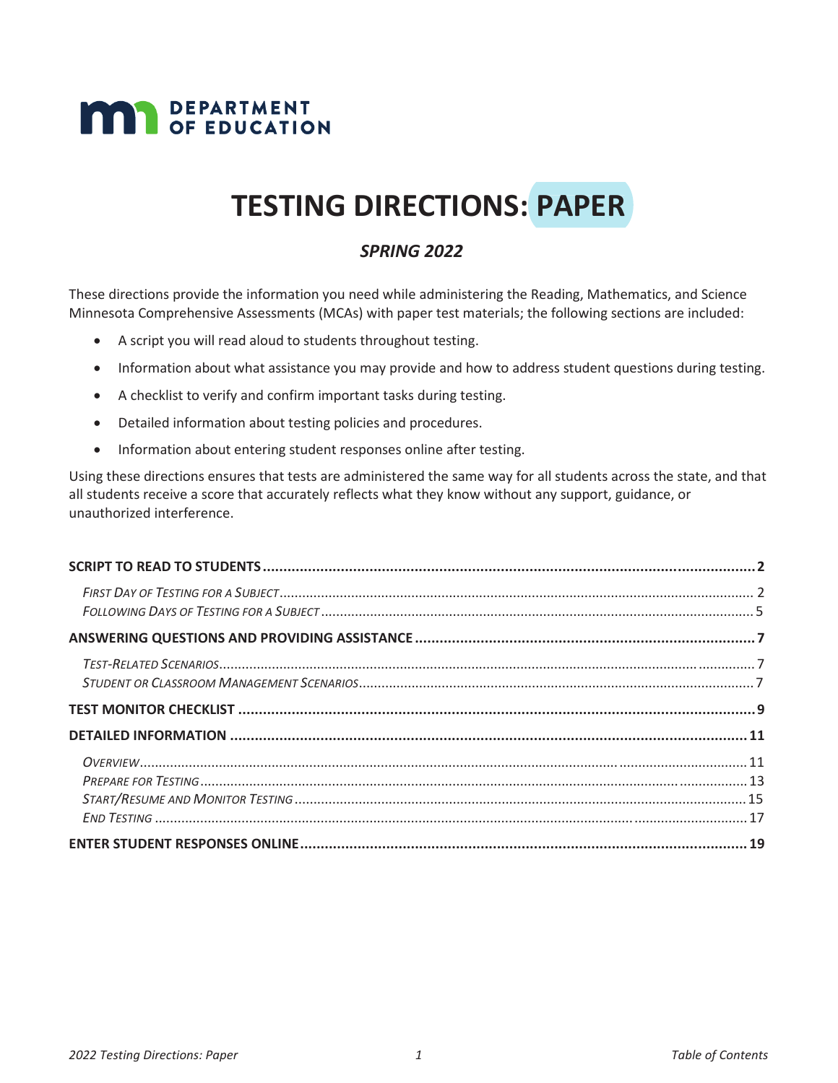# **MAN** DEPARTMENT

# **TESTING DIRECTIONS: PAPER**

#### *SPRING 2022*

These directions provide the information you need while administering the Reading, Mathematics, and Science Minnesota Comprehensive Assessments (MCAs) with paper test materials; the following sections are included:

- A script you will read aloud to students throughout testing.
- Information about what assistance you may provide and how to address student questions during testing.
- A checklist to verify and confirm important tasks during testing.
- Detailed information about testing policies and procedures.
- Information about entering student responses online after testing.

Using these directions ensures that tests are administered the same way for all students across the state, and that all students receive a score that accurately reflects what they know without any support, guidance, or unauthorized interference.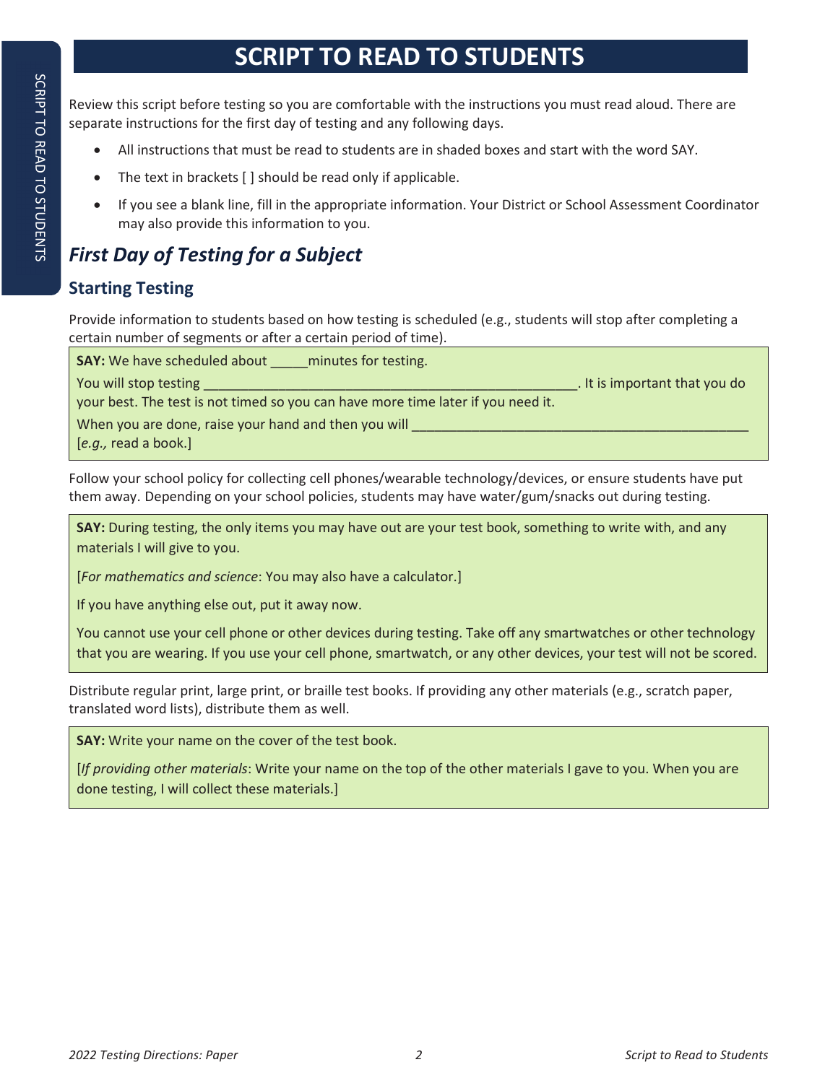# **SCRIPT TO READ TO STUDENTS**

Review this script before testing so you are comfortable with the instructions you must read aloud. There are separate instructions for the first day of testing and any following days.

- All instructions that must be read to students are in shaded boxes and start with the word SAY.
- $\bullet$  The text in brackets [ ] should be read only if applicable.
- If you see a blank line, fill in the appropriate information. Your District or School Assessment Coordinator may also provide this information to you.

# *First Day of Testing for a Subject*

## **Starting Testing**

Provide information to students based on how testing is scheduled (e.g., students will stop after completing a certain number of segments or after a certain period of time).

| <b>SAY:</b> We have scheduled about<br>minutes for testing.                      |                               |
|----------------------------------------------------------------------------------|-------------------------------|
| You will stop testing                                                            | . It is important that you do |
| your best. The test is not timed so you can have more time later if you need it. |                               |
| When you are done, raise your hand and then you will                             |                               |
| $[e.g.,$ read a book.]                                                           |                               |

Follow your school policy for collecting cell phones/wearable technology/devices, or ensure students have put them away. Depending on your school policies, students may have water/gum/snacks out during testing.

**SAY:** During testing, the only items you may have out are your test book, something to write with, and any materials I will give to you.

[*For mathematics and science*: You may also have a calculator.]

If you have anything else out, put it away now.

You cannot use your cell phone or other devices during testing. Take off any smartwatches or other technology that you are wearing. If you use your cell phone, smartwatch, or any other devices, your test will not be scored.

Distribute regular print, large print, or braille test books. If providing any other materials (e.g., scratch paper, translated word lists), distribute them as well.

**SAY:** Write your name on the cover of the test book.

[*If providing other materials*: Write your name on the top of the other materials I gave to you. When you are done testing, I will collect these materials.]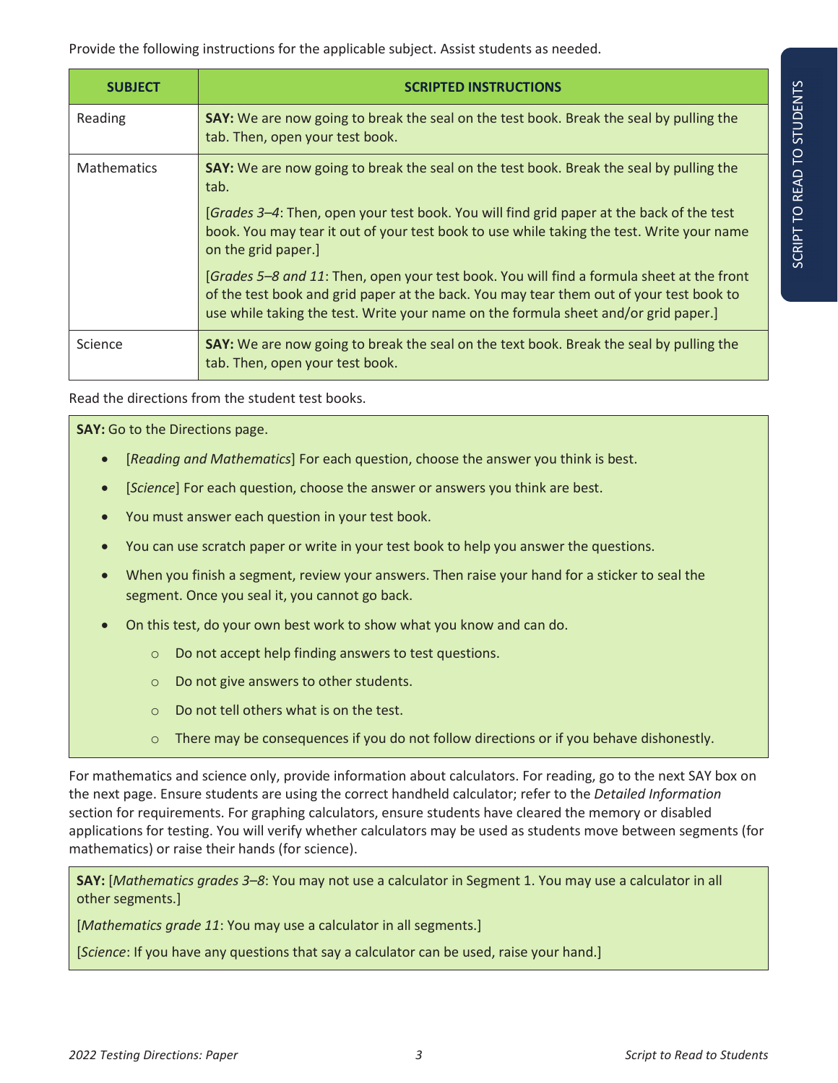Provide the following instructions for the applicable subject. Assist students as needed.

| <b>SUBJECT</b>     | <b>SCRIPTED INSTRUCTIONS</b>                                                                                                                                                                                                                                                |
|--------------------|-----------------------------------------------------------------------------------------------------------------------------------------------------------------------------------------------------------------------------------------------------------------------------|
| Reading            | SAY: We are now going to break the seal on the test book. Break the seal by pulling the<br>tab. Then, open your test book.                                                                                                                                                  |
| <b>Mathematics</b> | SAY: We are now going to break the seal on the test book. Break the seal by pulling the<br>tab.                                                                                                                                                                             |
|                    | [Grades 3–4: Then, open your test book. You will find grid paper at the back of the test<br>book. You may tear it out of your test book to use while taking the test. Write your name<br>on the grid paper.]                                                                |
|                    | [Grades 5-8 and 11: Then, open your test book. You will find a formula sheet at the front<br>of the test book and grid paper at the back. You may tear them out of your test book to<br>use while taking the test. Write your name on the formula sheet and/or grid paper.] |
| Science            | SAY: We are now going to break the seal on the text book. Break the seal by pulling the<br>tab. Then, open your test book.                                                                                                                                                  |

Read the directions from the student test books.

**SAY:** Go to the Directions page.

- x [*Reading and Mathematics*] For each question, choose the answer you think is best.
- **•** [*Science*] For each question, choose the answer or answers you think are best.
- You must answer each question in your test book.
- You can use scratch paper or write in your test book to help you answer the questions.
- When you finish a segment, review your answers. Then raise your hand for a sticker to seal the segment. Once you seal it, you cannot go back.
- On this test, do your own best work to show what you know and can do.
	- o Do not accept help finding answers to test questions.
	- o Do not give answers to other students.
	- o Do not tell others what is on the test.
	- $\circ$  There may be consequences if you do not follow directions or if you behave dishonestly.

For mathematics and science only, provide information about calculators. For reading, go to the next SAY box on the next page. Ensure students are using the correct handheld calculator; refer to the *Detailed Information* section for requirements. For graphing calculators, ensure students have cleared the memory or disabled applications for testing. You will verify whether calculators may be used as students move between segments (for mathematics) or raise their hands (for science).

**SAY:** [*Mathematics grades 3–8*: You may not use a calculator in Segment 1. You may use a calculator in all other segments.]

[*Mathematics grade 11*: You may use a calculator in all segments.]

[*Science*: If you have any questions that say a calculator can be used, raise your hand.]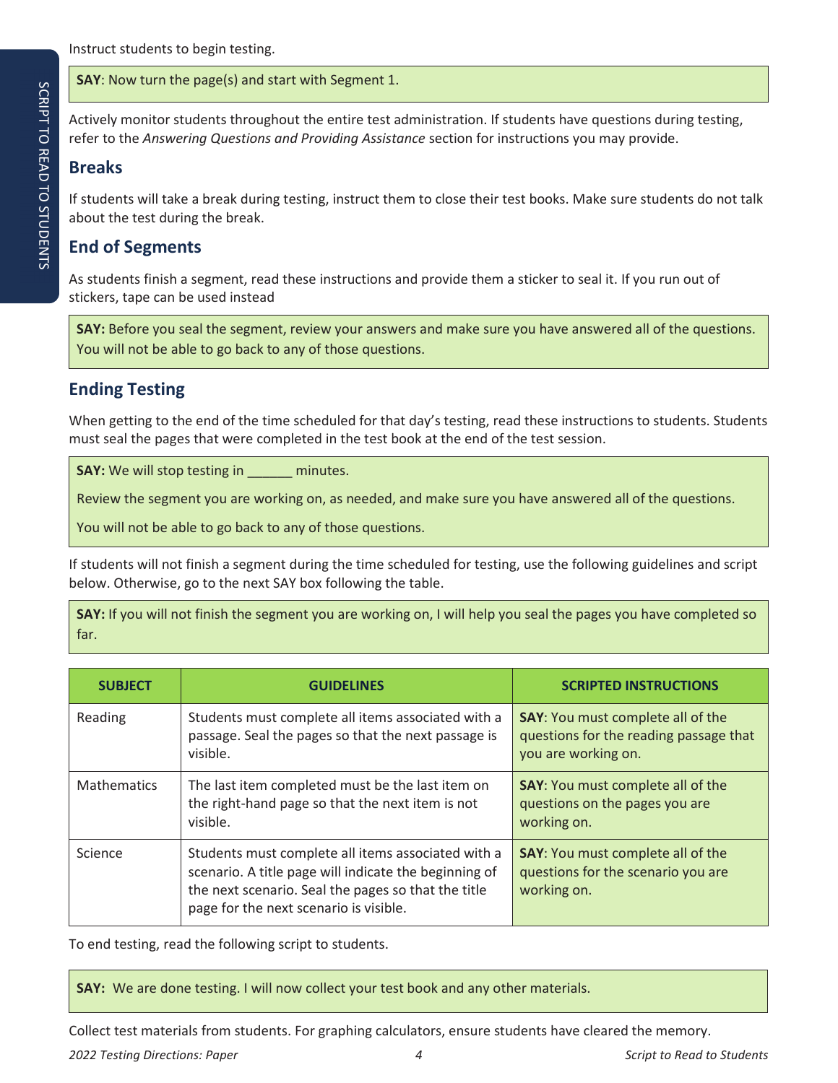**SAY**: Now turn the page(s) and start with Segment 1.

Actively monitor students throughout the entire test administration. If students have questions during testing, refer to the *Answering Questions and Providing Assistance* section for instructions you may provide.

#### **Breaks**

If students will take a break during testing, instruct them to close their test books. Make sure students do not talk about the test during the break.

### **End of Segments**

As students finish a segment, read these instructions and provide them a sticker to seal it. If you run out of stickers, tape can be used instead

**SAY:** Before you seal the segment, review your answers and make sure you have answered all of the questions. You will not be able to go back to any of those questions.

## **Ending Testing**

When getting to the end of the time scheduled for that day's testing, read these instructions to students. Students must seal the pages that were completed in the test book at the end of the test session.

**SAY:** We will stop testing in \_\_\_\_\_\_ minutes.

Review the segment you are working on, as needed, and make sure you have answered all of the questions.

You will not be able to go back to any of those questions.

If students will not finish a segment during the time scheduled for testing, use the following guidelines and script below. Otherwise, go to the next SAY box following the table.

**SAY:** If you will not finish the segment you are working on, I will help you seal the pages you have completed so far.

| <b>SUBJECT</b>     | <b>GUIDELINES</b>                                                                                                                                                                                            | <b>SCRIPTED INSTRUCTIONS</b>                                                                              |  |
|--------------------|--------------------------------------------------------------------------------------------------------------------------------------------------------------------------------------------------------------|-----------------------------------------------------------------------------------------------------------|--|
| Reading            | Students must complete all items associated with a<br>passage. Seal the pages so that the next passage is<br>visible.                                                                                        | <b>SAY:</b> You must complete all of the<br>questions for the reading passage that<br>you are working on. |  |
| <b>Mathematics</b> | The last item completed must be the last item on<br>the right-hand page so that the next item is not<br>visible.                                                                                             | <b>SAY:</b> You must complete all of the<br>questions on the pages you are<br>working on.                 |  |
| Science            | Students must complete all items associated with a<br>scenario. A title page will indicate the beginning of<br>the next scenario. Seal the pages so that the title<br>page for the next scenario is visible. | <b>SAY:</b> You must complete all of the<br>questions for the scenario you are<br>working on.             |  |

To end testing, read the following script to students.

**SAY:** We are done testing. I will now collect your test book and any other materials.

Collect test materials from students. For graphing calculators, ensure students have cleared the memory.

*2022 Testing Directions: Paper 4 Script to Read to Students*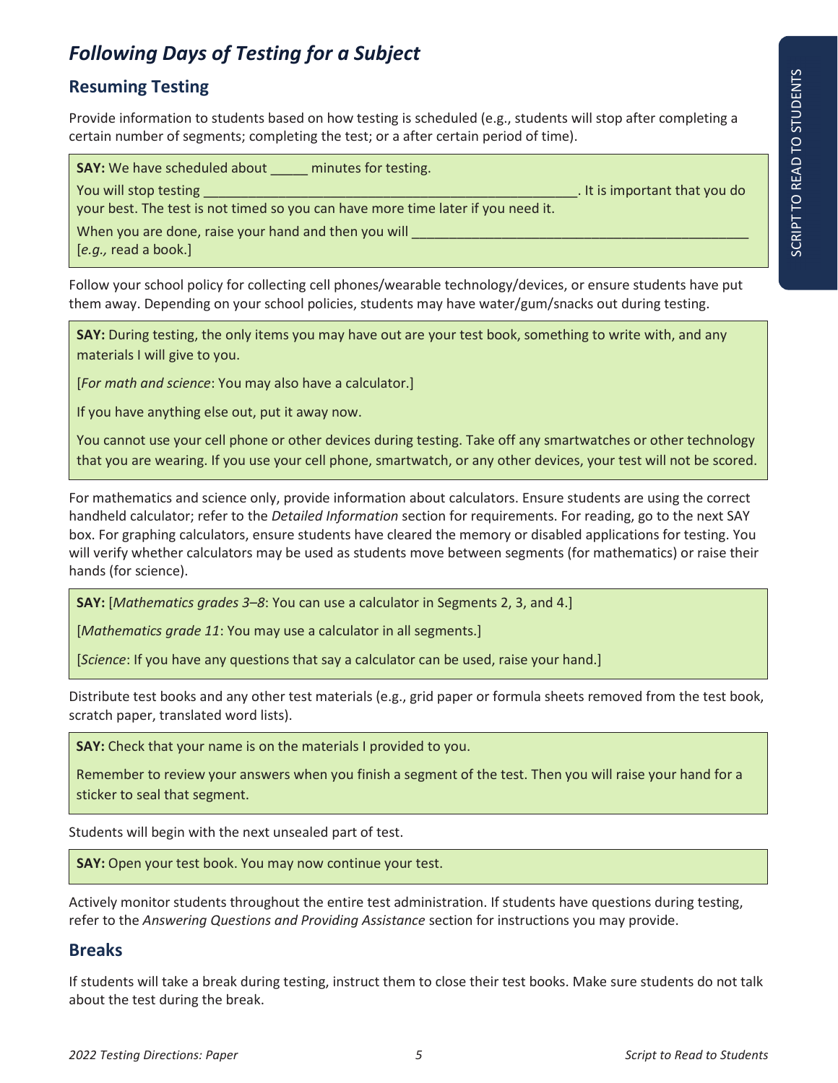## *Following Days of Testing for a Subject*

#### **Resuming Testing**

Provide information to students based on how testing is scheduled (e.g., students will stop after completing a certain number of segments; completing the test; or a after certain period of time).

| <b>SAY:</b> We have scheduled about<br>minutes for testing.                      |                               |
|----------------------------------------------------------------------------------|-------------------------------|
| You will stop testing                                                            | . It is important that you do |
| your best. The test is not timed so you can have more time later if you need it. |                               |
| When you are done, raise your hand and then you will                             |                               |
| $[e.g.,$ read a book.]                                                           |                               |

Follow your school policy for collecting cell phones/wearable technology/devices, or ensure students have put them away. Depending on your school policies, students may have water/gum/snacks out during testing.

**SAY:** During testing, the only items you may have out are your test book, something to write with, and any materials I will give to you.

[*For math and science*: You may also have a calculator.]

If you have anything else out, put it away now.

You cannot use your cell phone or other devices during testing. Take off any smartwatches or other technology that you are wearing. If you use your cell phone, smartwatch, or any other devices, your test will not be scored.

For mathematics and science only, provide information about calculators. Ensure students are using the correct handheld calculator; refer to the *Detailed Information* section for requirements. For reading, go to the next SAY box. For graphing calculators, ensure students have cleared the memory or disabled applications for testing. You will verify whether calculators may be used as students move between segments (for mathematics) or raise their hands (for science).

**SAY:** [*Mathematics grades 3–8*: You can use a calculator in Segments 2, 3, and 4.]

[*Mathematics grade 11*: You may use a calculator in all segments.]

[*Science*: If you have any questions that say a calculator can be used, raise your hand.]

Distribute test books and any other test materials (e.g., grid paper or formula sheets removed from the test book, scratch paper, translated word lists).

**SAY:** Check that your name is on the materials I provided to you.

Remember to review your answers when you finish a segment of the test. Then you will raise your hand for a sticker to seal that segment.

Students will begin with the next unsealed part of test.

**SAY:** Open your test book. You may now continue your test.

Actively monitor students throughout the entire test administration. If students have questions during testing, refer to the *Answering Questions and Providing Assistance* section for instructions you may provide.

#### **Breaks**

If students will take a break during testing, instruct them to close their test books. Make sure students do not talk about the test during the break.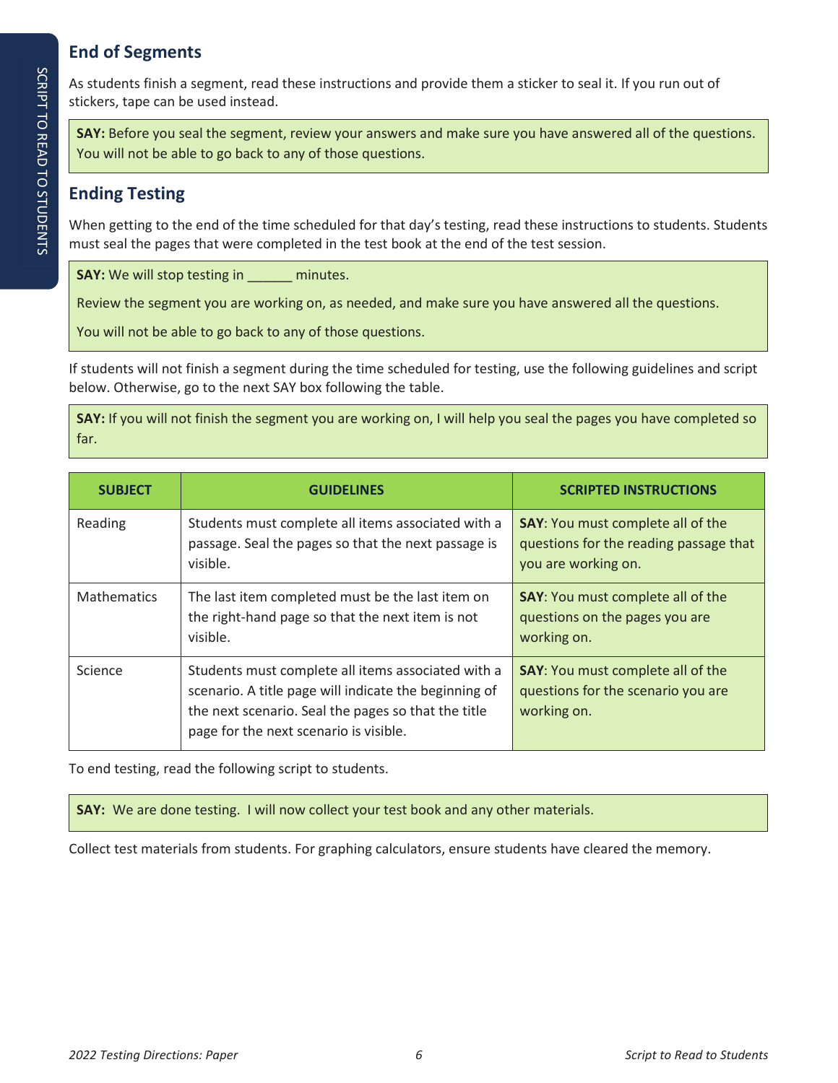### **End of Segments**

As students finish a segment, read these instructions and provide them a sticker to seal it. If you run out of stickers, tape can be used instead.

**SAY:** Before you seal the segment, review your answers and make sure you have answered all of the questions. You will not be able to go back to any of those questions.

#### **Ending Testing**

When getting to the end of the time scheduled for that day's testing, read these instructions to students. Students must seal the pages that were completed in the test book at the end of the test session.

**SAY:** We will stop testing in \_\_\_\_\_\_ minutes.

Review the segment you are working on, as needed, and make sure you have answered all the questions.

You will not be able to go back to any of those questions.

If students will not finish a segment during the time scheduled for testing, use the following guidelines and script below. Otherwise, go to the next SAY box following the table.

**SAY:** If you will not finish the segment you are working on, I will help you seal the pages you have completed so far.

| <b>SUBJECT</b>     | <b>GUIDELINES</b>                                                                                                                                                                                            | <b>SCRIPTED INSTRUCTIONS</b>                                                                              |
|--------------------|--------------------------------------------------------------------------------------------------------------------------------------------------------------------------------------------------------------|-----------------------------------------------------------------------------------------------------------|
| Reading            | Students must complete all items associated with a<br>passage. Seal the pages so that the next passage is<br>visible.                                                                                        | <b>SAY:</b> You must complete all of the<br>questions for the reading passage that<br>you are working on. |
| <b>Mathematics</b> | The last item completed must be the last item on<br>the right-hand page so that the next item is not<br>visible.                                                                                             | <b>SAY:</b> You must complete all of the<br>questions on the pages you are<br>working on.                 |
| Science            | Students must complete all items associated with a<br>scenario. A title page will indicate the beginning of<br>the next scenario. Seal the pages so that the title<br>page for the next scenario is visible. | <b>SAY:</b> You must complete all of the<br>questions for the scenario you are<br>working on.             |

To end testing, read the following script to students.

**SAY:** We are done testing. I will now collect your test book and any other materials.

Collect test materials from students. For graphing calculators, ensure students have cleared the memory.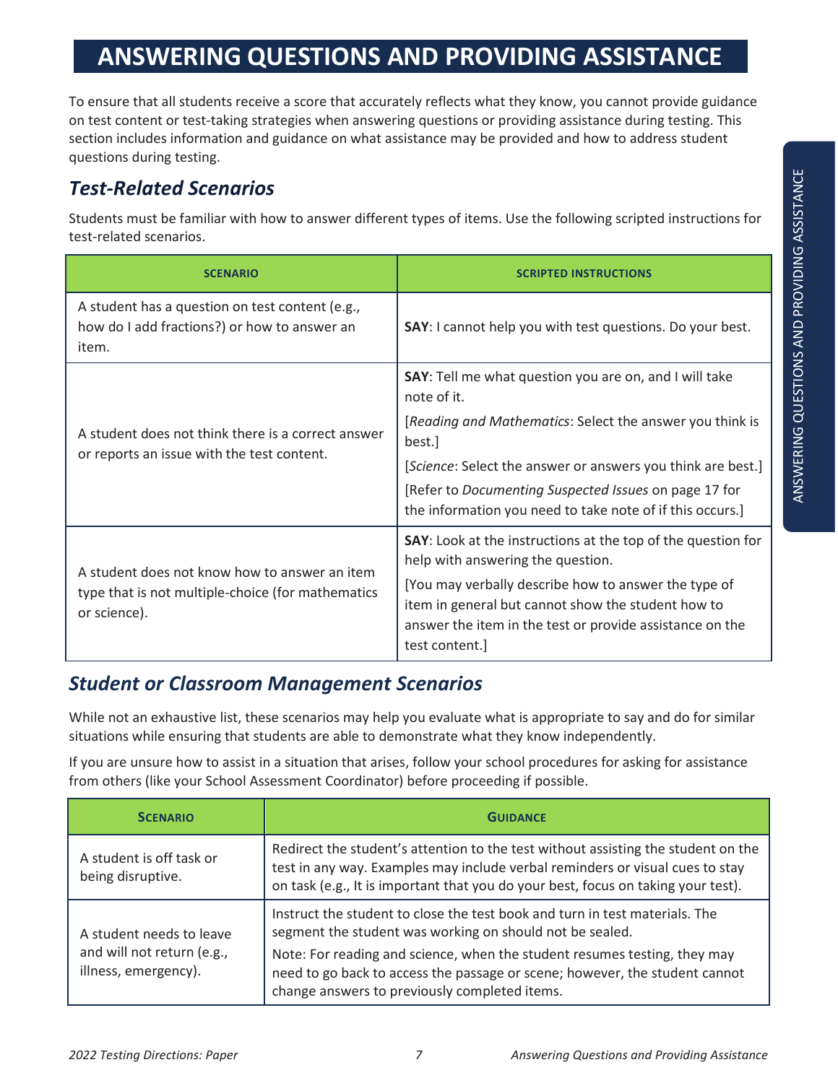# **ANSWERING QUESTIONS AND PROVIDING ASSISTANCE**

To ensure that all students receive a score that accurately reflects what they know, you cannot provide guidance on test content or test-taking strategies when answering questions or providing assistance during testing. This section includes information and guidance on what assistance may be provided and how to address student questions during testing.

# *Test-Related Scenarios*

Students must be familiar with how to answer different types of items. Use the following scripted instructions for test-related scenarios.

| <b>SCENARIO</b>                                                                                                    | <b>SCRIPTED INSTRUCTIONS</b>                                                                                                                                                             |
|--------------------------------------------------------------------------------------------------------------------|------------------------------------------------------------------------------------------------------------------------------------------------------------------------------------------|
| A student has a question on test content (e.g.,<br>how do I add fractions?) or how to answer an<br>item.           | <b>SAY:</b> I cannot help you with test questions. Do your best.                                                                                                                         |
|                                                                                                                    | <b>SAY:</b> Tell me what question you are on, and I will take<br>note of it.                                                                                                             |
| A student does not think there is a correct answer                                                                 | [Reading and Mathematics: Select the answer you think is<br>best.]                                                                                                                       |
| or reports an issue with the test content.                                                                         | [Science: Select the answer or answers you think are best.]                                                                                                                              |
|                                                                                                                    | [Refer to Documenting Suspected Issues on page 17 for<br>the information you need to take note of if this occurs.]                                                                       |
|                                                                                                                    | <b>SAY:</b> Look at the instructions at the top of the question for<br>help with answering the question.                                                                                 |
| A student does not know how to answer an item<br>type that is not multiple-choice (for mathematics<br>or science). | [You may verbally describe how to answer the type of<br>item in general but cannot show the student how to<br>answer the item in the test or provide assistance on the<br>test content.] |

# *Student or Classroom Management Scenarios*

While not an exhaustive list, these scenarios may help you evaluate what is appropriate to say and do for similar situations while ensuring that students are able to demonstrate what they know independently.

If you are unsure how to assist in a situation that arises, follow your school procedures for asking for assistance from others (like your School Assessment Coordinator) before proceeding if possible.

| <b>SCENARIO</b>                                    | <b>GUIDANCE</b>                                                                                                                                                                                                                                         |  |  |
|----------------------------------------------------|---------------------------------------------------------------------------------------------------------------------------------------------------------------------------------------------------------------------------------------------------------|--|--|
| A student is off task or<br>being disruptive.      | Redirect the student's attention to the test without assisting the student on the<br>test in any way. Examples may include verbal reminders or visual cues to stay<br>on task (e.g., It is important that you do your best, focus on taking your test). |  |  |
| A student needs to leave                           | Instruct the student to close the test book and turn in test materials. The<br>segment the student was working on should not be sealed.                                                                                                                 |  |  |
| and will not return (e.g.,<br>illness, emergency). | Note: For reading and science, when the student resumes testing, they may<br>need to go back to access the passage or scene; however, the student cannot<br>change answers to previously completed items.                                               |  |  |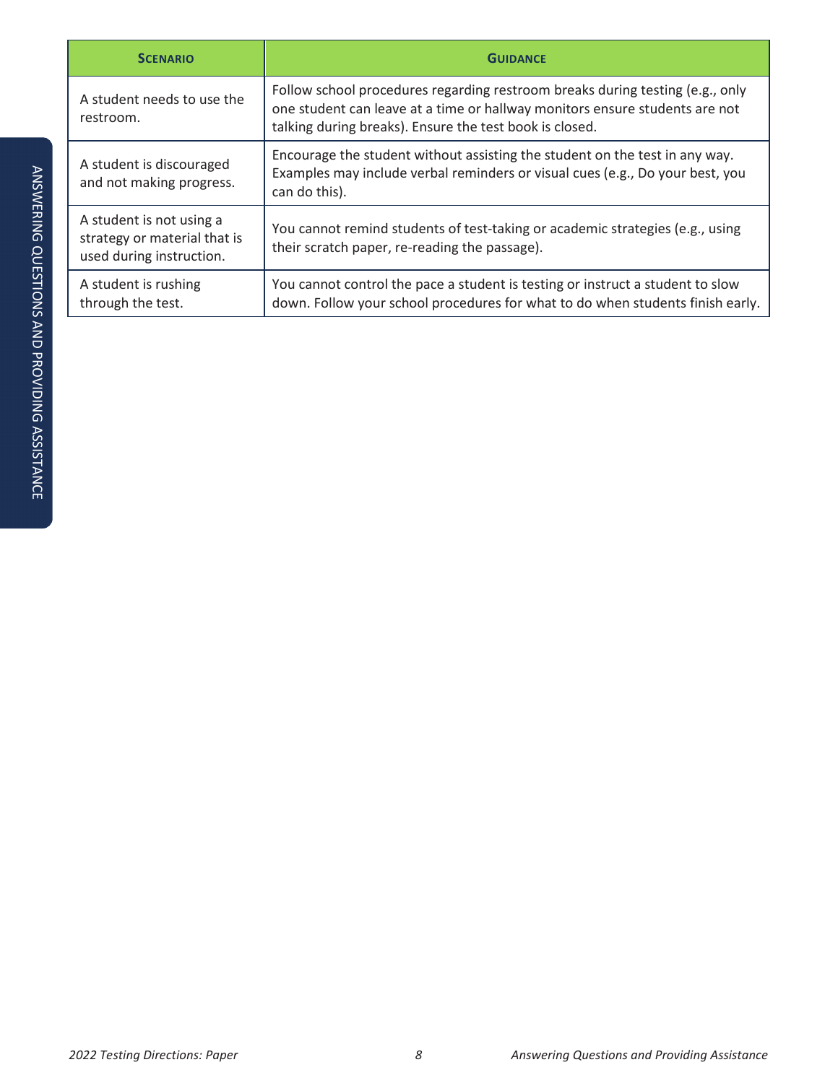| <b>SCENARIO</b>                                                                      | <b>GUIDANCE</b>                                                                                                                                                                                                         |  |  |
|--------------------------------------------------------------------------------------|-------------------------------------------------------------------------------------------------------------------------------------------------------------------------------------------------------------------------|--|--|
| A student needs to use the<br>restroom.                                              | Follow school procedures regarding restroom breaks during testing (e.g., only<br>one student can leave at a time or hallway monitors ensure students are not<br>talking during breaks). Ensure the test book is closed. |  |  |
| A student is discouraged<br>and not making progress.                                 | Encourage the student without assisting the student on the test in any way.<br>Examples may include verbal reminders or visual cues (e.g., Do your best, you<br>can do this).                                           |  |  |
| A student is not using a<br>strategy or material that is<br>used during instruction. | You cannot remind students of test-taking or academic strategies (e.g., using<br>their scratch paper, re-reading the passage).                                                                                          |  |  |
| A student is rushing<br>through the test.                                            | You cannot control the pace a student is testing or instruct a student to slow<br>down. Follow your school procedures for what to do when students finish early.                                                        |  |  |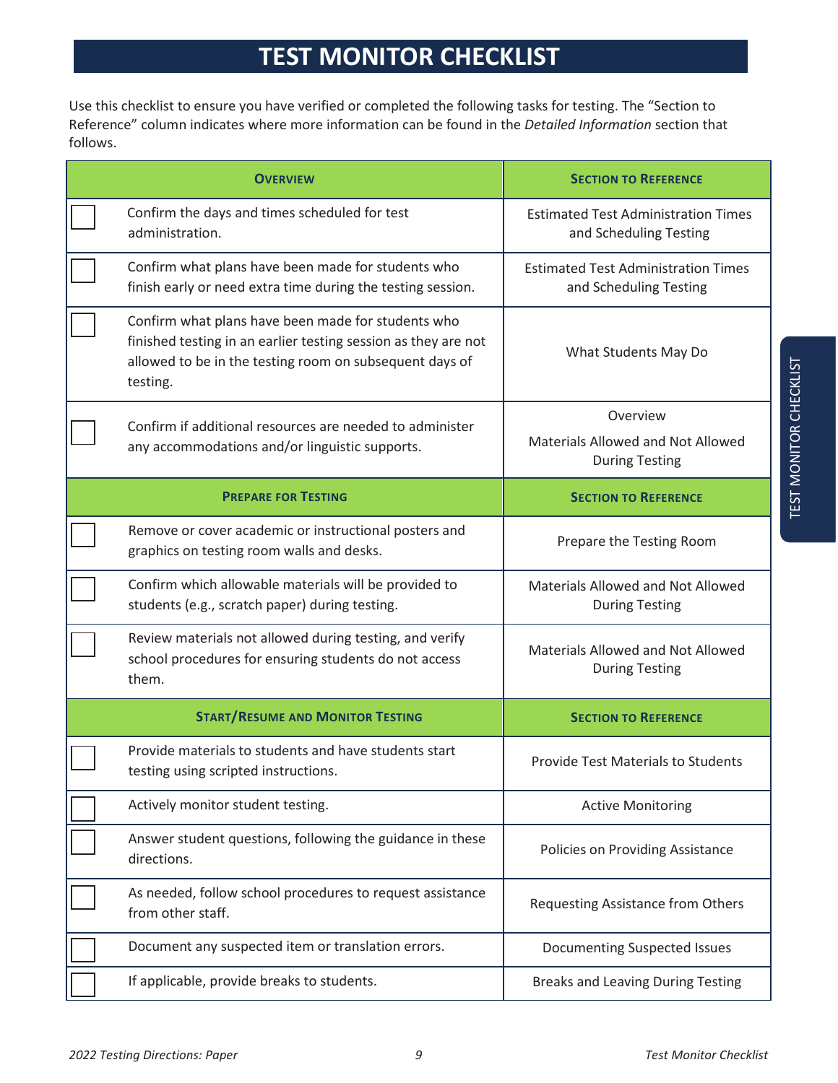# **TEST MONITOR CHECKLIST**

Use this checklist to ensure you have verified or completed the following tasks for testing. The "Section to Reference" column indicates where more information can be found in the *Detailed Information* section that follows.

| <b>OVERVIEW</b>                                                                                                           |                                                                                                                                                                                             | <b>SECTION TO REFERENCE</b>                                          |  |
|---------------------------------------------------------------------------------------------------------------------------|---------------------------------------------------------------------------------------------------------------------------------------------------------------------------------------------|----------------------------------------------------------------------|--|
|                                                                                                                           | Confirm the days and times scheduled for test<br>administration.                                                                                                                            | <b>Estimated Test Administration Times</b><br>and Scheduling Testing |  |
|                                                                                                                           | Confirm what plans have been made for students who<br>finish early or need extra time during the testing session.                                                                           | <b>Estimated Test Administration Times</b><br>and Scheduling Testing |  |
|                                                                                                                           | Confirm what plans have been made for students who<br>finished testing in an earlier testing session as they are not<br>allowed to be in the testing room on subsequent days of<br>testing. | What Students May Do                                                 |  |
|                                                                                                                           | Confirm if additional resources are needed to administer                                                                                                                                    | Overview                                                             |  |
|                                                                                                                           | any accommodations and/or linguistic supports.                                                                                                                                              | Materials Allowed and Not Allowed<br><b>During Testing</b>           |  |
|                                                                                                                           | <b>PREPARE FOR TESTING</b>                                                                                                                                                                  | <b>SECTION TO REFERENCE</b>                                          |  |
|                                                                                                                           | Remove or cover academic or instructional posters and<br>graphics on testing room walls and desks.                                                                                          | Prepare the Testing Room                                             |  |
|                                                                                                                           | Confirm which allowable materials will be provided to<br>students (e.g., scratch paper) during testing.                                                                                     | Materials Allowed and Not Allowed<br><b>During Testing</b>           |  |
| Review materials not allowed during testing, and verify<br>school procedures for ensuring students do not access<br>them. |                                                                                                                                                                                             | Materials Allowed and Not Allowed<br><b>During Testing</b>           |  |
|                                                                                                                           | <b>START/RESUME AND MONITOR TESTING</b>                                                                                                                                                     | <b>SECTION TO REFERENCE</b>                                          |  |
|                                                                                                                           | Provide materials to students and have students start<br>testing using scripted instructions.                                                                                               | <b>Provide Test Materials to Students</b>                            |  |
|                                                                                                                           | Actively monitor student testing.                                                                                                                                                           | <b>Active Monitoring</b>                                             |  |
|                                                                                                                           | Answer student questions, following the guidance in these<br>directions.                                                                                                                    | Policies on Providing Assistance                                     |  |
|                                                                                                                           | As needed, follow school procedures to request assistance<br>from other staff.                                                                                                              | Requesting Assistance from Others                                    |  |
|                                                                                                                           | Document any suspected item or translation errors.                                                                                                                                          | Documenting Suspected Issues                                         |  |
|                                                                                                                           | If applicable, provide breaks to students.                                                                                                                                                  | <b>Breaks and Leaving During Testing</b>                             |  |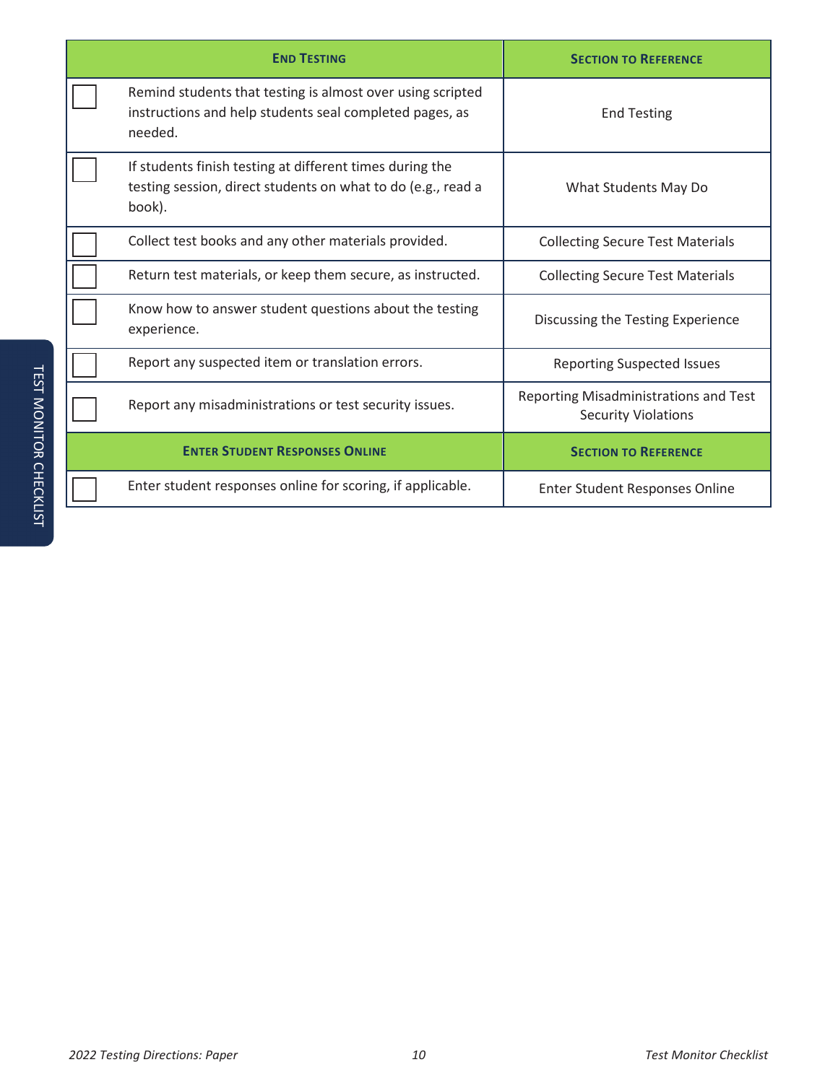| <b>END TESTING</b>                                                                                                                 | <b>SECTION TO REFERENCE</b>                                         |
|------------------------------------------------------------------------------------------------------------------------------------|---------------------------------------------------------------------|
| Remind students that testing is almost over using scripted<br>instructions and help students seal completed pages, as<br>needed.   | <b>End Testing</b>                                                  |
| If students finish testing at different times during the<br>testing session, direct students on what to do (e.g., read a<br>book). | What Students May Do                                                |
| Collect test books and any other materials provided.                                                                               | <b>Collecting Secure Test Materials</b>                             |
| Return test materials, or keep them secure, as instructed.                                                                         | <b>Collecting Secure Test Materials</b>                             |
| Know how to answer student questions about the testing<br>experience.                                                              | Discussing the Testing Experience                                   |
| Report any suspected item or translation errors.                                                                                   | <b>Reporting Suspected Issues</b>                                   |
| Report any misadministrations or test security issues.                                                                             | Reporting Misadministrations and Test<br><b>Security Violations</b> |
| <b>ENTER STUDENT RESPONSES ONLINE</b>                                                                                              | <b>SECTION TO REFERENCE</b>                                         |
| Enter student responses online for scoring, if applicable.                                                                         | Enter Student Responses Online                                      |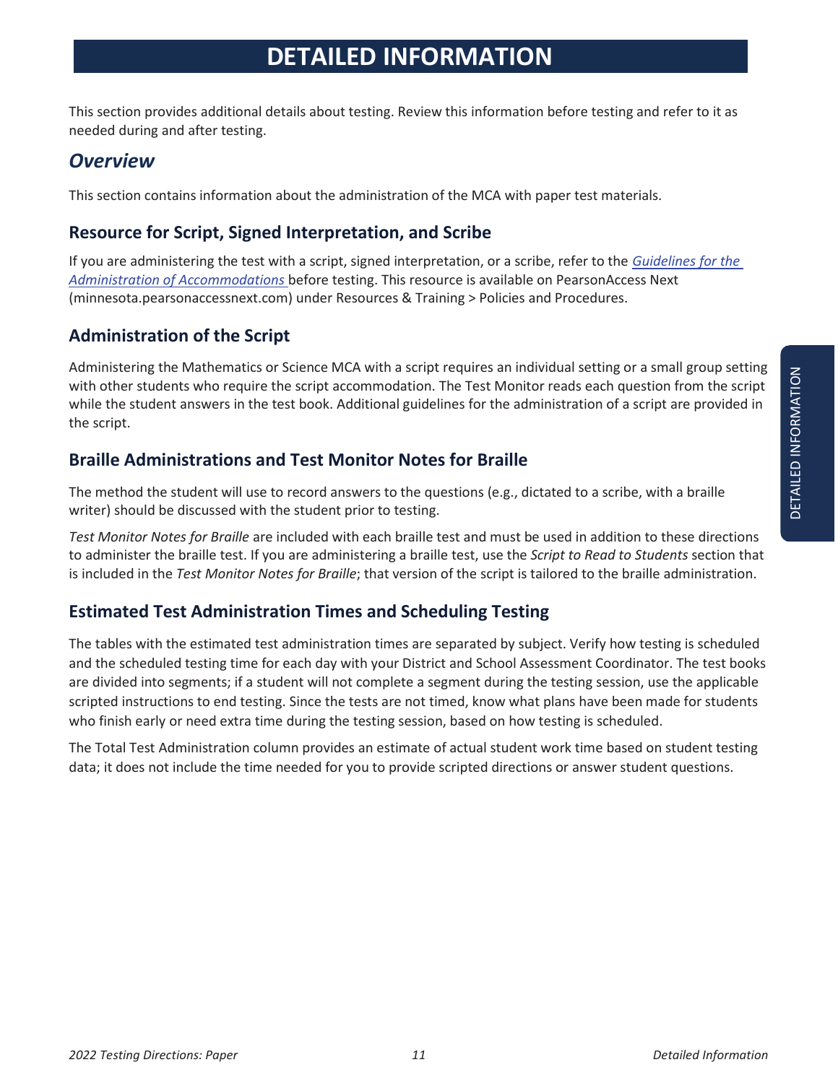This section provides additional details about testing. Review this information before testing and refer to it as needed during and after testing.

## *Overview*

This section contains information about the administration of the MCA with paper test materials.

#### **Resource for Script, Signed Interpretation, and Scribe**

If you are administering the test with a script, signed interpretation, or a scribe, refer to the *Guidelines for the Administration of Accommodations* before testing. This resource is available on PearsonAccess Next (minnesota.pearsonaccessnext.com) under Resources & Training > Policies and Procedures.

#### **Administration of the Script**

Administering the Mathematics or Science MCA with a script requires an individual setting or a small group setting with other students who require the script accommodation. The Test Monitor reads each question from the script while the student answers in the test book. Additional guidelines for the administration of a script are provided in the script.

#### **Braille Administrations and Test Monitor Notes for Braille**

The method the student will use to record answers to the questions (e.g., dictated to a scribe, with a braille writer) should be discussed with the student prior to testing.

*Test Monitor Notes for Braille* are included with each braille test and must be used in addition to these directions to administer the braille test. If you are administering a braille test, use the *Script to Read to Students* section that is included in the *Test Monitor Notes for Braille*; that version of the script is tailored to the braille administration.

#### **Estimated Test Administration Times and Scheduling Testing**

The tables with the estimated test administration times are separated by subject. Verify how testing is scheduled and the scheduled testing time for each day with your District and School Assessment Coordinator. The test books are divided into segments; if a student will not complete a segment during the testing session, use the applicable scripted instructions to end testing. Since the tests are not timed, know what plans have been made for students who finish early or need extra time during the testing session, based on how testing is scheduled.

The Total Test Administration column provides an estimate of actual student work time based on student testing data; it does not include the time needed for you to provide scripted directions or answer student questions.

DETAILED INFORMATION DETAILED INFORMATION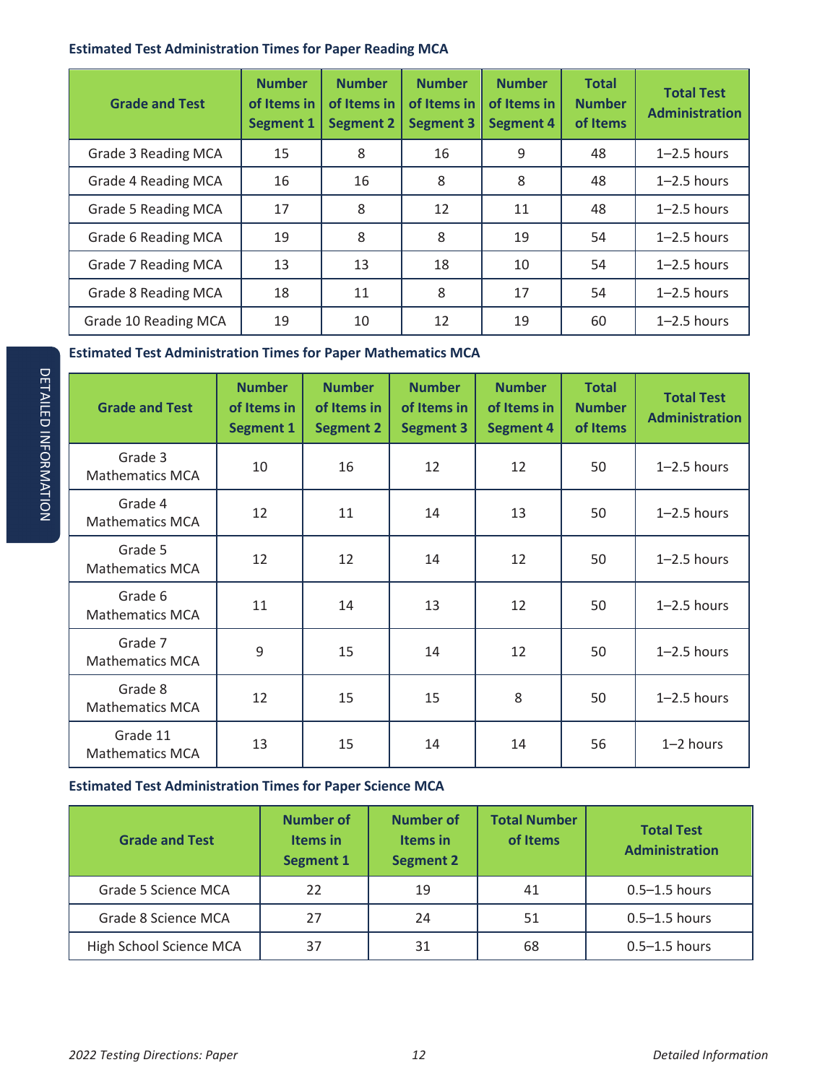#### **Estimated Test Administration Times for Paper Reading MCA**

| <b>Grade and Test</b> | <b>Number</b><br>of Items in<br><b>Segment 1</b> | <b>Number</b><br>of Items in<br><b>Segment 2</b> | <b>Number</b><br>of Items in<br><b>Segment 3</b> | <b>Number</b><br>of Items in<br><b>Segment 4</b> | <b>Total</b><br><b>Number</b><br>of Items | <b>Total Test</b><br><b>Administration</b> |
|-----------------------|--------------------------------------------------|--------------------------------------------------|--------------------------------------------------|--------------------------------------------------|-------------------------------------------|--------------------------------------------|
| Grade 3 Reading MCA   | 15                                               | 8                                                | 16                                               | 9                                                | 48                                        | $1 - 2.5$ hours                            |
| Grade 4 Reading MCA   | 16                                               | 16                                               | 8                                                | 8                                                | 48                                        | $1 - 2.5$ hours                            |
| Grade 5 Reading MCA   | 17                                               | 8                                                | 12                                               | 11                                               | 48                                        | $1 - 2.5$ hours                            |
| Grade 6 Reading MCA   | 19                                               | 8                                                | 8                                                | 19                                               | 54                                        | $1 - 2.5$ hours                            |
| Grade 7 Reading MCA   | 13                                               | 13                                               | 18                                               | 10                                               | 54                                        | $1 - 2.5$ hours                            |
| Grade 8 Reading MCA   | 18                                               | 11                                               | 8                                                | 17                                               | 54                                        | $1 - 2.5$ hours                            |
| Grade 10 Reading MCA  | 19                                               | 10                                               | 12                                               | 19                                               | 60                                        | $1 - 2.5$ hours                            |

#### **Estimated Test Administration Times for Paper Mathematics MCA**

| <b>Grade and Test</b>              | <b>Number</b><br>of Items in<br><b>Segment 1</b> | <b>Number</b><br>of Items in<br><b>Segment 2</b> | <b>Number</b><br>of Items in<br><b>Segment 3</b> | <b>Number</b><br>of Items in<br><b>Segment 4</b> | <b>Total</b><br><b>Number</b><br>of Items | <b>Total Test</b><br><b>Administration</b> |
|------------------------------------|--------------------------------------------------|--------------------------------------------------|--------------------------------------------------|--------------------------------------------------|-------------------------------------------|--------------------------------------------|
| Grade 3<br><b>Mathematics MCA</b>  | 10                                               | 16                                               | 12                                               | 12                                               | 50                                        | $1 - 2.5$ hours                            |
| Grade 4<br><b>Mathematics MCA</b>  | 12                                               | 11                                               | 14                                               | 13                                               | 50                                        | $1 - 2.5$ hours                            |
| Grade 5<br><b>Mathematics MCA</b>  | 12                                               | 12                                               | 14                                               | 12                                               | 50                                        | $1 - 2.5$ hours                            |
| Grade 6<br><b>Mathematics MCA</b>  | 11                                               | 14                                               | 13                                               | 12                                               | 50                                        | $1 - 2.5$ hours                            |
| Grade 7<br>Mathematics MCA         | 9                                                | 15                                               | 14                                               | 12                                               | 50                                        | $1 - 2.5$ hours                            |
| Grade 8<br><b>Mathematics MCA</b>  | 12                                               | 15                                               | 15                                               | 8                                                | 50                                        | $1 - 2.5$ hours                            |
| Grade 11<br><b>Mathematics MCA</b> | 13                                               | 15                                               | 14                                               | 14                                               | 56                                        | 1-2 hours                                  |

#### **Estimated Test Administration Times for Paper Science MCA**

| <b>Grade and Test</b>   | <b>Number of</b><br><b>Items</b> in<br><b>Segment 1</b> | <b>Number of</b><br>Items in<br><b>Segment 2</b> | <b>Total Number</b><br>of Items | <b>Total Test</b><br><b>Administration</b> |
|-------------------------|---------------------------------------------------------|--------------------------------------------------|---------------------------------|--------------------------------------------|
| Grade 5 Science MCA     | 22                                                      | 19                                               | 41                              | $0.5 - 1.5$ hours                          |
| Grade 8 Science MCA     | 27                                                      | 24                                               | 51                              | $0.5 - 1.5$ hours                          |
| High School Science MCA | 37                                                      | 31                                               | 68                              | $0.5 - 1.5$ hours                          |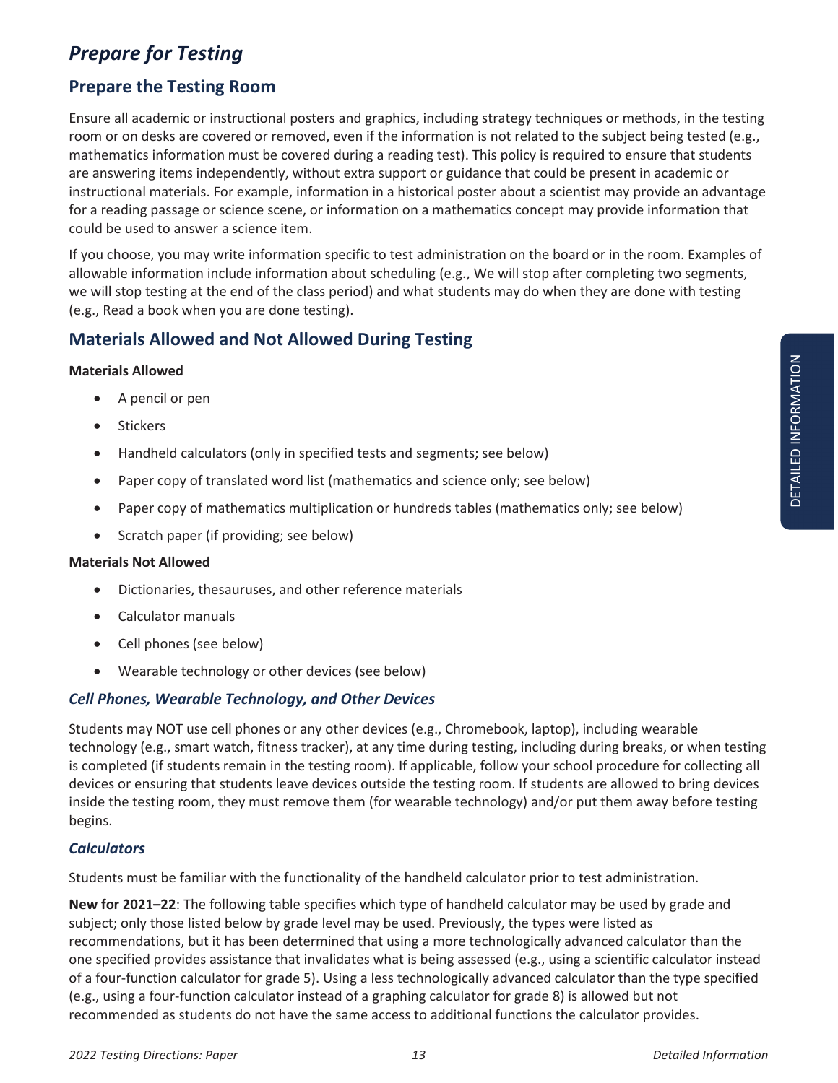## *Prepare for Testing*

#### **Prepare the Testing Room**

Ensure all academic or instructional posters and graphics, including strategy techniques or methods, in the testing room or on desks are covered or removed, even if the information is not related to the subject being tested (e.g., mathematics information must be covered during a reading test). This policy is required to ensure that students are answering items independently, without extra support or guidance that could be present in academic or instructional materials. For example, information in a historical poster about a scientist may provide an advantage for a reading passage or science scene, or information on a mathematics concept may provide information that could be used to answer a science item.

If you choose, you may write information specific to test administration on the board or in the room. Examples of allowable information include information about scheduling (e.g., We will stop after completing two segments, we will stop testing at the end of the class period) and what students may do when they are done with testing (e.g., Read a book when you are done testing).

#### **Materials Allowed and Not Allowed During Testing**

#### **Materials Allowed**

- A pencil or pen
- Stickers
- Handheld calculators (only in specified tests and segments; see below)
- Paper copy of translated word list (mathematics and science only; see below)
- Paper copy of mathematics multiplication or hundreds tables (mathematics only; see below)
- Scratch paper (if providing; see below)

#### **Materials Not Allowed**

- Dictionaries, thesauruses, and other reference materials
- Calculator manuals
- Cell phones (see below)
- Wearable technology or other devices (see below)

#### *Cell Phones, Wearable Technology, and Other Devices*

Students may NOT use cell phones or any other devices (e.g., Chromebook, laptop), including wearable technology (e.g., smart watch, fitness tracker), at any time during testing, including during breaks, or when testing is completed (if students remain in the testing room). If applicable, follow your school procedure for collecting all devices or ensuring that students leave devices outside the testing room. If students are allowed to bring devices inside the testing room, they must remove them (for wearable technology) and/or put them away before testing begins.

#### *Calculators*

Students must be familiar with the functionality of the handheld calculator prior to test administration.

**New for 2021–22**: The following table specifies which type of handheld calculator may be used by grade and subject; only those listed below by grade level may be used. Previously, the types were listed as recommendations, but it has been determined that using a more technologically advanced calculator than the one specified provides assistance that invalidates what is being assessed (e.g., using a scientific calculator instead of a four-function calculator for grade 5). Using a less technologically advanced calculator than the type specified (e.g., using a four-function calculator instead of a graphing calculator for grade 8) is allowed but not recommended as students do not have the same access to additional functions the calculator provides.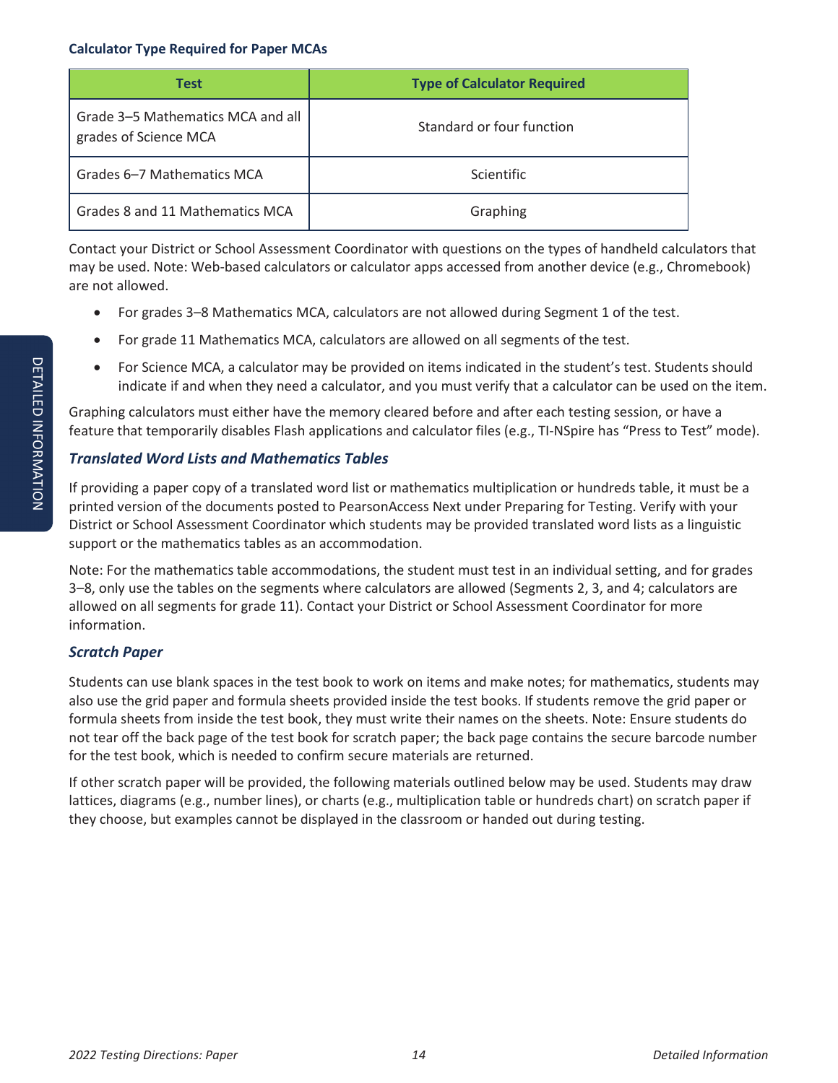#### **Calculator Type Required for Paper MCAs**

| <b>Test</b>                                                | <b>Type of Calculator Required</b> |
|------------------------------------------------------------|------------------------------------|
| Grade 3-5 Mathematics MCA and all<br>grades of Science MCA | Standard or four function          |
| Grades 6–7 Mathematics MCA                                 | <b>Scientific</b>                  |
| Grades 8 and 11 Mathematics MCA                            | Graphing                           |

Contact your District or School Assessment Coordinator with questions on the types of handheld calculators that may be used. Note: Web-based calculators or calculator apps accessed from another device (e.g., Chromebook) are not allowed.

- For grades 3–8 Mathematics MCA, calculators are not allowed during Segment 1 of the test.
- For grade 11 Mathematics MCA, calculators are allowed on all segments of the test.
- For Science MCA, a calculator may be provided on items indicated in the student's test. Students should indicate if and when they need a calculator, and you must verify that a calculator can be used on the item.

Graphing calculators must either have the memory cleared before and after each testing session, or have a feature that temporarily disables Flash applications and calculator files (e.g., TI-NSpire has "Press to Test" mode).

#### *Translated Word Lists and Mathematics Tables*

If providing a paper copy of a translated word list or mathematics multiplication or hundreds table, it must be a printed version of the documents posted to PearsonAccess Next under Preparing for Testing. Verify with your District or School Assessment Coordinator which students may be provided translated word lists as a linguistic support or the mathematics tables as an accommodation.

Note: For the mathematics table accommodations, the student must test in an individual setting, and for grades 3–8, only use the tables on the segments where calculators are allowed (Segments 2, 3, and 4; calculators are allowed on all segments for grade 11). Contact your District or School Assessment Coordinator for more information.

#### *Scratch Paper*

Students can use blank spaces in the test book to work on items and make notes; for mathematics, students may also use the grid paper and formula sheets provided inside the test books. If students remove the grid paper or formula sheets from inside the test book, they must write their names on the sheets. Note: Ensure students do not tear off the back page of the test book for scratch paper; the back page contains the secure barcode number for the test book, which is needed to confirm secure materials are returned.

If other scratch paper will be provided, the following materials outlined below may be used. Students may draw lattices, diagrams (e.g., number lines), or charts (e.g., multiplication table or hundreds chart) on scratch paper if they choose, but examples cannot be displayed in the classroom or handed out during testing.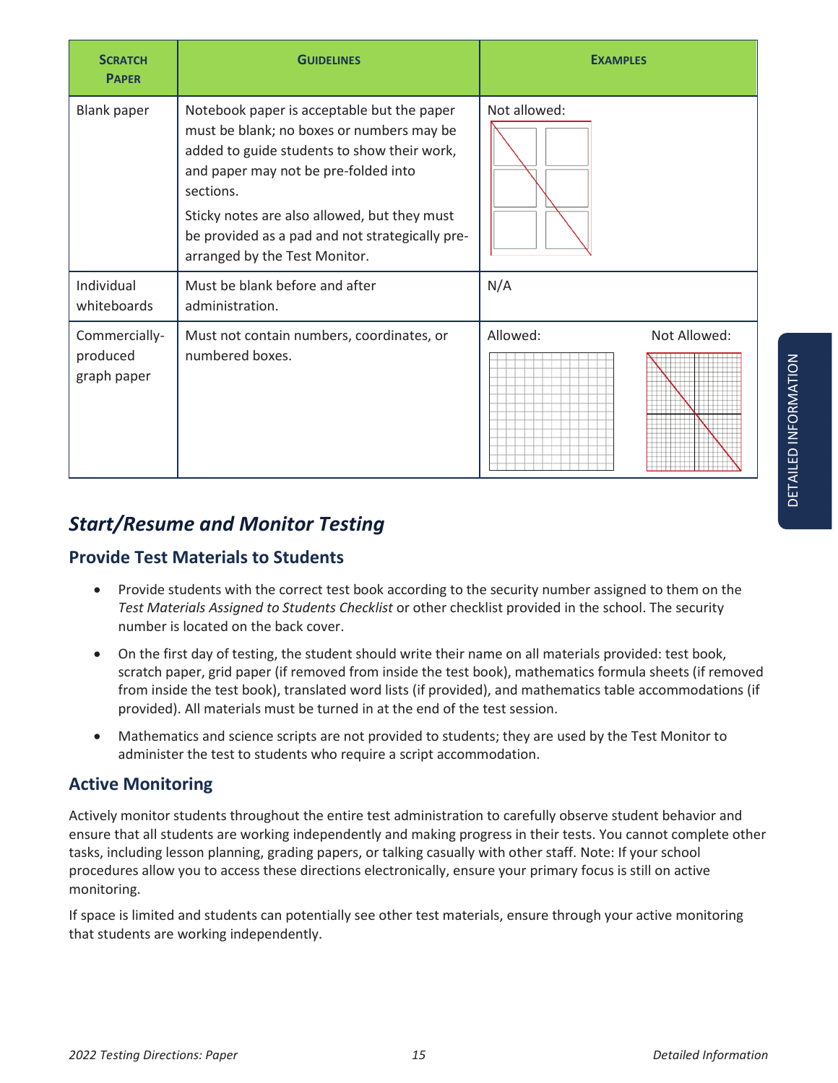| <b>SCRATCH</b><br><b>PAPER</b>           | <b>GUIDELINES</b>                                                                                                                                                                                                                                                                                                               | <b>EXAMPLES</b>          |  |
|------------------------------------------|---------------------------------------------------------------------------------------------------------------------------------------------------------------------------------------------------------------------------------------------------------------------------------------------------------------------------------|--------------------------|--|
| <b>Blank paper</b>                       | Notebook paper is acceptable but the paper<br>must be blank; no boxes or numbers may be<br>added to guide students to show their work,<br>and paper may not be pre-folded into<br>sections.<br>Sticky notes are also allowed, but they must<br>be provided as a pad and not strategically pre-<br>arranged by the Test Monitor. | Not allowed:             |  |
| Individual<br>whiteboards                | Must be blank before and after<br>administration.                                                                                                                                                                                                                                                                               | N/A                      |  |
| Commercially-<br>produced<br>graph paper | Must not contain numbers, coordinates, or<br>numbered boxes.                                                                                                                                                                                                                                                                    | Allowed:<br>Not Allowed: |  |

# *Start/Resume and Monitor Testing*

#### **Provide Test Materials to Students**

- Provide students with the correct test book according to the security number assigned to them on the *Test Materials Assigned to Students Checklist* or other checklist provided in the school. The security number is located on the back cover.
- On the first day of testing, the student should write their name on all materials provided: test book, scratch paper, grid paper (if removed from inside the test book), mathematics formula sheets (if removed from inside the test book), translated word lists (if provided), and mathematics table accommodations (if provided). All materials must be turned in at the end of the test session.
- Mathematics and science scripts are not provided to students; they are used by the Test Monitor to administer the test to students who require a script accommodation.

#### **Active Monitoring**

Actively monitor students throughout the entire test administration to carefully observe student behavior and ensure that all students are working independently and making progress in their tests. You cannot complete other tasks, including lesson planning, grading papers, or talking casually with other staff. Note: If your school procedures allow you to access these directions electronically, ensure your primary focus is still on active monitoring.

If space is limited and students can potentially see other test materials, ensure through your active monitoring that students are working independently.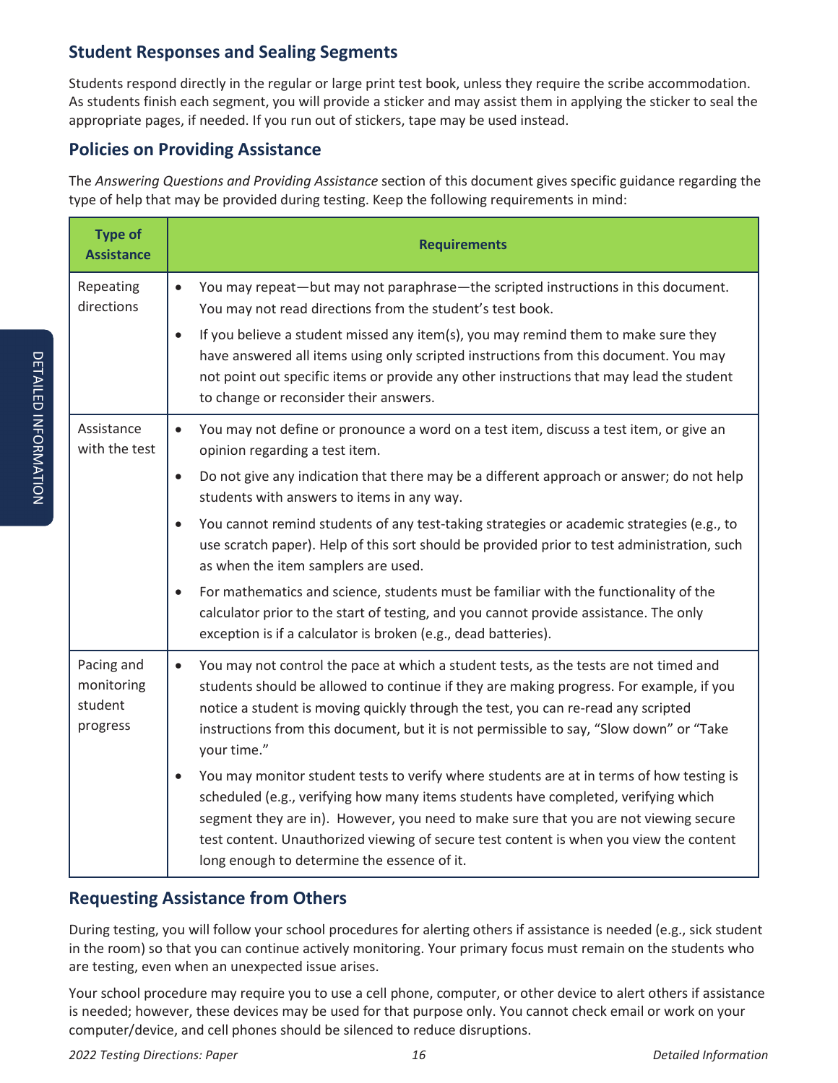#### **Student Responses and Sealing Segments**

Students respond directly in the regular or large print test book, unless they require the scribe accommodation. As students finish each segment, you will provide a sticker and may assist them in applying the sticker to seal the appropriate pages, if needed. If you run out of stickers, tape may be used instead.

#### **Policies on Providing Assistance**

The *Answering Questions and Providing Assistance* section of this document gives specific guidance regarding the type of help that may be provided during testing. Keep the following requirements in mind:

| <b>Type of</b><br><b>Assistance</b>             | <b>Requirements</b>                                                                                                                                                                                                                                                                                                                                                                                             |
|-------------------------------------------------|-----------------------------------------------------------------------------------------------------------------------------------------------------------------------------------------------------------------------------------------------------------------------------------------------------------------------------------------------------------------------------------------------------------------|
| Repeating<br>directions                         | You may repeat—but may not paraphrase—the scripted instructions in this document.<br>$\bullet$<br>You may not read directions from the student's test book.                                                                                                                                                                                                                                                     |
|                                                 | If you believe a student missed any item(s), you may remind them to make sure they<br>$\bullet$<br>have answered all items using only scripted instructions from this document. You may<br>not point out specific items or provide any other instructions that may lead the student<br>to change or reconsider their answers.                                                                                   |
| Assistance<br>with the test                     | You may not define or pronounce a word on a test item, discuss a test item, or give an<br>$\bullet$<br>opinion regarding a test item.                                                                                                                                                                                                                                                                           |
|                                                 | Do not give any indication that there may be a different approach or answer; do not help<br>$\bullet$<br>students with answers to items in any way.                                                                                                                                                                                                                                                             |
|                                                 | You cannot remind students of any test-taking strategies or academic strategies (e.g., to<br>$\bullet$<br>use scratch paper). Help of this sort should be provided prior to test administration, such<br>as when the item samplers are used.                                                                                                                                                                    |
|                                                 | For mathematics and science, students must be familiar with the functionality of the<br>$\bullet$<br>calculator prior to the start of testing, and you cannot provide assistance. The only<br>exception is if a calculator is broken (e.g., dead batteries).                                                                                                                                                    |
| Pacing and<br>monitoring<br>student<br>progress | You may not control the pace at which a student tests, as the tests are not timed and<br>$\bullet$<br>students should be allowed to continue if they are making progress. For example, if you<br>notice a student is moving quickly through the test, you can re-read any scripted<br>instructions from this document, but it is not permissible to say, "Slow down" or "Take<br>your time."                    |
|                                                 | You may monitor student tests to verify where students are at in terms of how testing is<br>scheduled (e.g., verifying how many items students have completed, verifying which<br>segment they are in). However, you need to make sure that you are not viewing secure<br>test content. Unauthorized viewing of secure test content is when you view the content<br>long enough to determine the essence of it. |

#### **Requesting Assistance from Others**

During testing, you will follow your school procedures for alerting others if assistance is needed (e.g., sick student in the room) so that you can continue actively monitoring. Your primary focus must remain on the students who are testing, even when an unexpected issue arises.

Your school procedure may require you to use a cell phone, computer, or other device to alert others if assistance is needed; however, these devices may be used for that purpose only. You cannot check email or work on your computer/device, and cell phones should be silenced to reduce disruptions.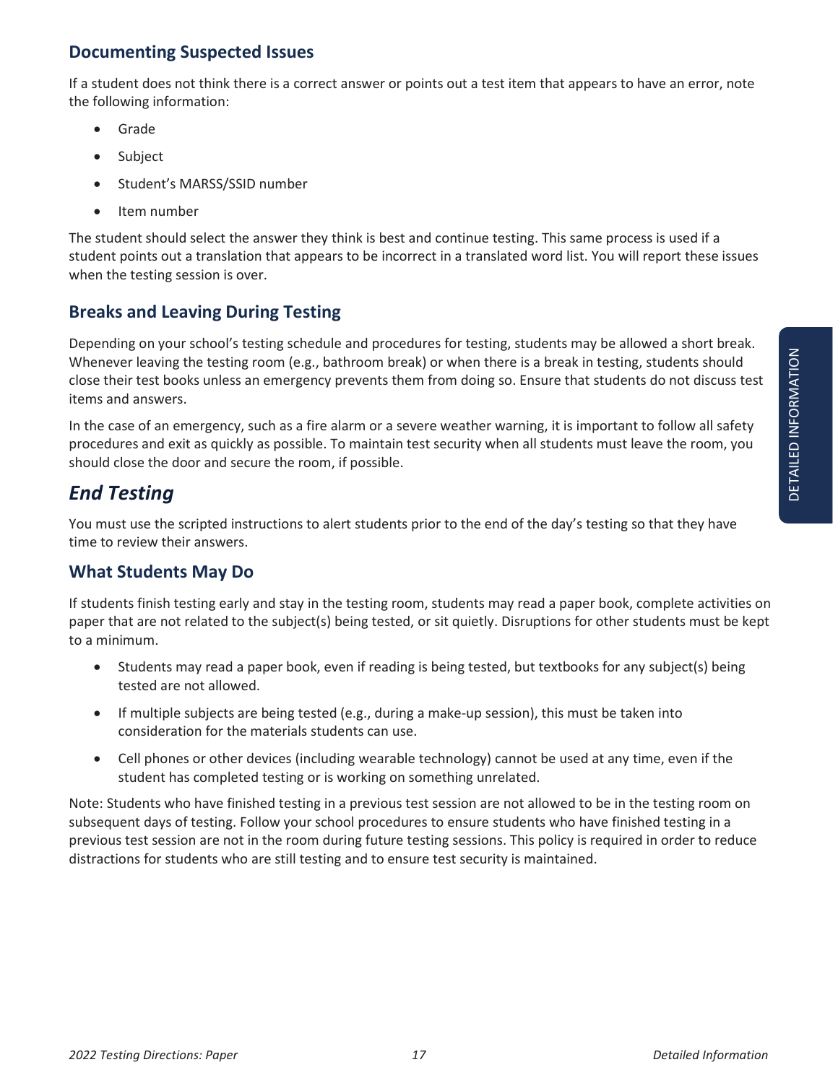#### **Documenting Suspected Issues**

If a student does not think there is a correct answer or points out a test item that appears to have an error, note the following information:

- Grade
- Subject
- Student's MARSS/SSID number
- Item number

The student should select the answer they think is best and continue testing. This same process is used if a student points out a translation that appears to be incorrect in a translated word list. You will report these issues when the testing session is over.

#### **Breaks and Leaving During Testing**

Depending on your school's testing schedule and procedures for testing, students may be allowed a short break. Whenever leaving the testing room (e.g., bathroom break) or when there is a break in testing, students should close their test books unless an emergency prevents them from doing so. Ensure that students do not discuss test items and answers.

In the case of an emergency, such as a fire alarm or a severe weather warning, it is important to follow all safety procedures and exit as quickly as possible. To maintain test security when all students must leave the room, you should close the door and secure the room, if possible.

# *End Testing*

You must use the scripted instructions to alert students prior to the end of the day's testing so that they have time to review their answers.

#### **What Students May Do**

If students finish testing early and stay in the testing room, students may read a paper book, complete activities on paper that are not related to the subject(s) being tested, or sit quietly. Disruptions for other students must be kept to a minimum.

- Students may read a paper book, even if reading is being tested, but textbooks for any subject(s) being tested are not allowed.
- If multiple subjects are being tested (e.g., during a make-up session), this must be taken into consideration for the materials students can use.
- Cell phones or other devices (including wearable technology) cannot be used at any time, even if the student has completed testing or is working on something unrelated.

Note: Students who have finished testing in a previous test session are not allowed to be in the testing room on subsequent days of testing. Follow your school procedures to ensure students who have finished testing in a previous test session are not in the room during future testing sessions. This policy is required in order to reduce distractions for students who are still testing and to ensure test security is maintained.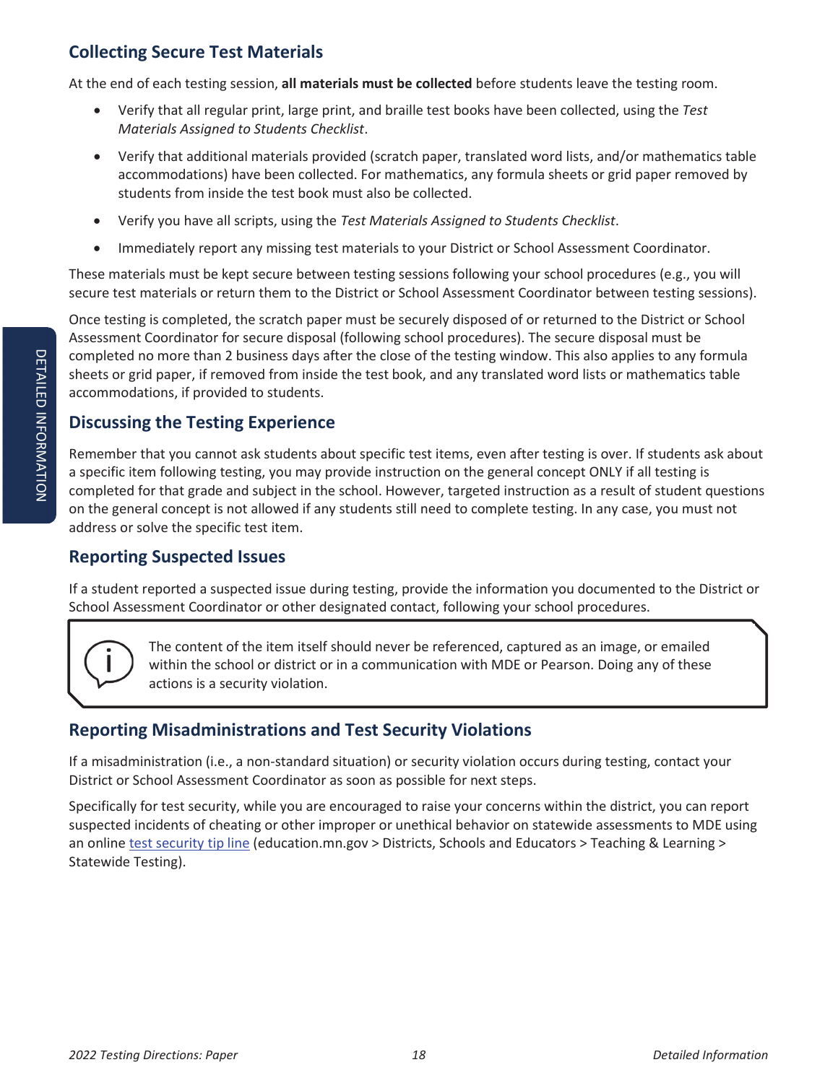#### **Collecting Secure Test Materials**

At the end of each testing session, **all materials must be collected** before students leave the testing room.

- x Verify that all regular print, large print, and braille test books have been collected, using the *Test Materials Assigned to Students Checklist*.
- Verify that additional materials provided (scratch paper, translated word lists, and/or mathematics table accommodations) have been collected. For mathematics, any formula sheets or grid paper removed by students from inside the test book must also be collected.
- x Verify you have all scripts, using the *Test Materials Assigned to Students Checklist*.
- Immediately report any missing test materials to your District or School Assessment Coordinator.

These materials must be kept secure between testing sessions following your school procedures (e.g., you will secure test materials or return them to the District or School Assessment Coordinator between testing sessions).

Once testing is completed, the scratch paper must be securely disposed of or returned to the District or School Assessment Coordinator for secure disposal (following school procedures). The secure disposal must be completed no more than 2 business days after the close of the testing window. This also applies to any formula sheets or grid paper, if removed from inside the test book, and any translated word lists or mathematics table accommodations, if provided to students.

#### **Discussing the Testing Experience**

Remember that you cannot ask students about specific test items, even after testing is over. If students ask about a specific item following testing, you may provide instruction on the general concept ONLY if all testing is completed for that grade and subject in the school. However, targeted instruction as a result of student questions on the general concept is not allowed if any students still need to complete testing. In any case, you must not address or solve the specific test item.

#### **Reporting Suspected Issues**

If a student reported a suspected issue during testing, provide the information you documented to the District or School Assessment Coordinator or other designated contact, following your school procedures.



The content of the item itself should never be referenced, captured as an image, or emailed within the school or district or in a communication with MDE or Pearson. Doing any of these actions is a security violation.

#### **Reporting Misadministrations and Test Security Violations**

If a misadministration (i.e., a non-standard situation) or security violation occurs during testing, contact your District or School Assessment Coordinator as soon as possible for next steps.

Specifically for test security, while you are encouraged to raise your concerns within the district, you can report suspected incidents of cheating or other improper or unethical behavior on statewide assessments to MDE using an online test security tip line (education.mn.gov > Districts, Schools and Educators > Teaching & Learning > Statewide Testing).